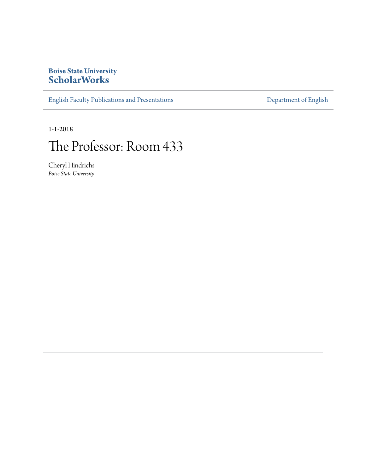## **Boise State University [ScholarWorks](https://scholarworks.boisestate.edu)**

[English Faculty Publications and Presentations](https://scholarworks.boisestate.edu/english_facpubs) **[Department of English](https://scholarworks.boisestate.edu/english)** 

1-1-2018

## The Professor: Room 433

Cheryl Hindrichs *Boise State University*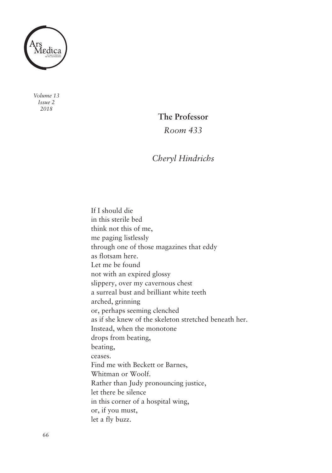

*Volume 13 Issue 2 2018*

## **The Professor**

*Room 433*

## *Cheryl Hindrichs*

 If I should die in this sterile bed think not this of me, me paging listlessly through one of those magazines that eddy as flotsam here. Let me be found not with an expired glossy slippery, over my cavernous chest a surreal bust and brilliant white teeth or, perhaps seeming clenched as if she knew of the skeleton stretched beneath her. Instead, when the monotone drops from beating, Find me with Beckett or Barnes, Whitman or Woolf. Rather than Judy pronouncing justice, let there be silence in this corner of a hospital wing, or, if you must, let a fly buzz. arched, grinning beating, ceases.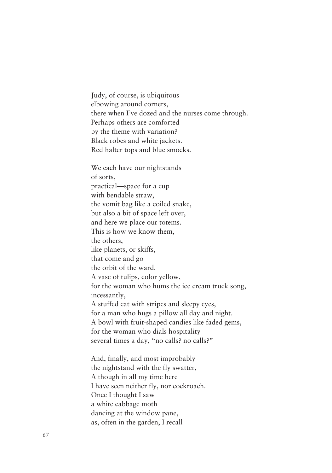Judy, of course, is ubiquitous elbowing around corners, there when I've dozed and the nurses come through. perhaps others are comforted by the theme with variation? Black robes and white jackets. Red halter tops and blue smocks.

 We each have our nightstands practical—space for a cup with bendable straw, the vomit bag like a coiled snake, but also a bit of space left over, and here we place our totems. This is how we know them, like planets, or skiffs, that come and go the orbit of the ward. A vase of tulips, color yellow, for the woman who hums the ice cream truck song, A stuffed cat with stripes and sleepy eyes, for a man who hugs a pillow all day and night. A bowl with fruit-shaped candies like faded gems, for the woman who dials hospitality several times a day, "no calls? no calls?" of sorts, the others, incessantly,

 And, finally, and most improbably the nightstand with the fly swatter, Although in all my time here I have seen neither fly, nor cockroach. once I thought I saw a white cabbage moth dancing at the window pane, as, often in the garden, I recall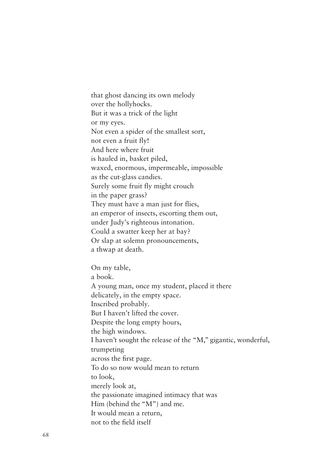that ghost dancing its own melody over the hollyhocks. But it was a trick of the light or my eyes. Not even a spider of the smallest sort, not even a fruit fly! And here where fruit is hauled in, basket piled, waxed, enormous, impermeable, impossible as the cut-glass candies. surely some fruit fly might crouch in the paper grass? They must have a man just for flies, an emperor of insects, escorting them out, under Judy's righteous intonation. could a swatter keep her at bay? or slap at solemn pronouncements, a thwap at death.

 on my table, A young man, once my student, placed it there delicately, in the empty space. But I haven't lifted the cover. Despite the long empty hours, the high windows. I haven't sought the release of the "M," gigantic, wonderful, across the first page. To do so now would mean to return to look, merely look at, the passionate imagined intimacy that was Him (behind the "M") and me. It would mean a return, not to the field itself a book. Inscribed probably. trumpeting